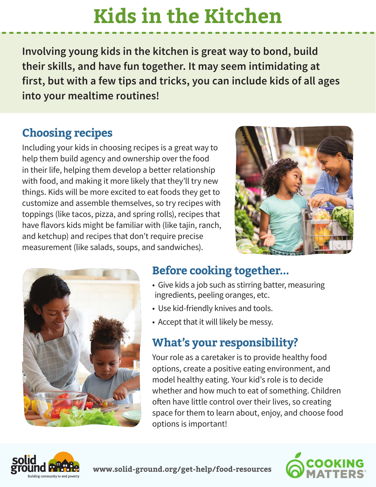# **Kids in the Kitchen**

**Involving young kids in the kitchen is great way to bond, build their skills, and have fun together. It may seem intimidating at first, but with a few tips and tricks, you can include kids of all ages into your mealtime routines!**

### **Choosing recipes**

Including your kids in choosing recipes is a great way to help them build agency and ownership over the food in their life, helping them develop a better relationship with food, and making it more likely that they'll try new things. Kids will be more excited to eat foods they get to customize and assemble themselves, so try recipes with toppings (like tacos, pizza, and spring rolls), recipes that have flavors kids might be familiar with (like tajin, ranch, and ketchup) and recipes that don't require precise measurement (like salads, soups, and sandwiches).





### **Before cooking together...**

- Give kids a job such as stirring batter, measuring ingredients, peeling oranges, etc.
- Use kid-friendly knives and tools.
- Accept that it will likely be messy.

### **What's your responsibility?**

Your role as a caretaker is to provide healthy food options, create a positive eating environment, and model healthy eating. Your kid's role is to decide whether and how much to eat of something. Children often have little control over their lives, so creating space for them to learn about, enjoy, and choose food options is important!



**www.solid-ground.org/get-help/food-resources**